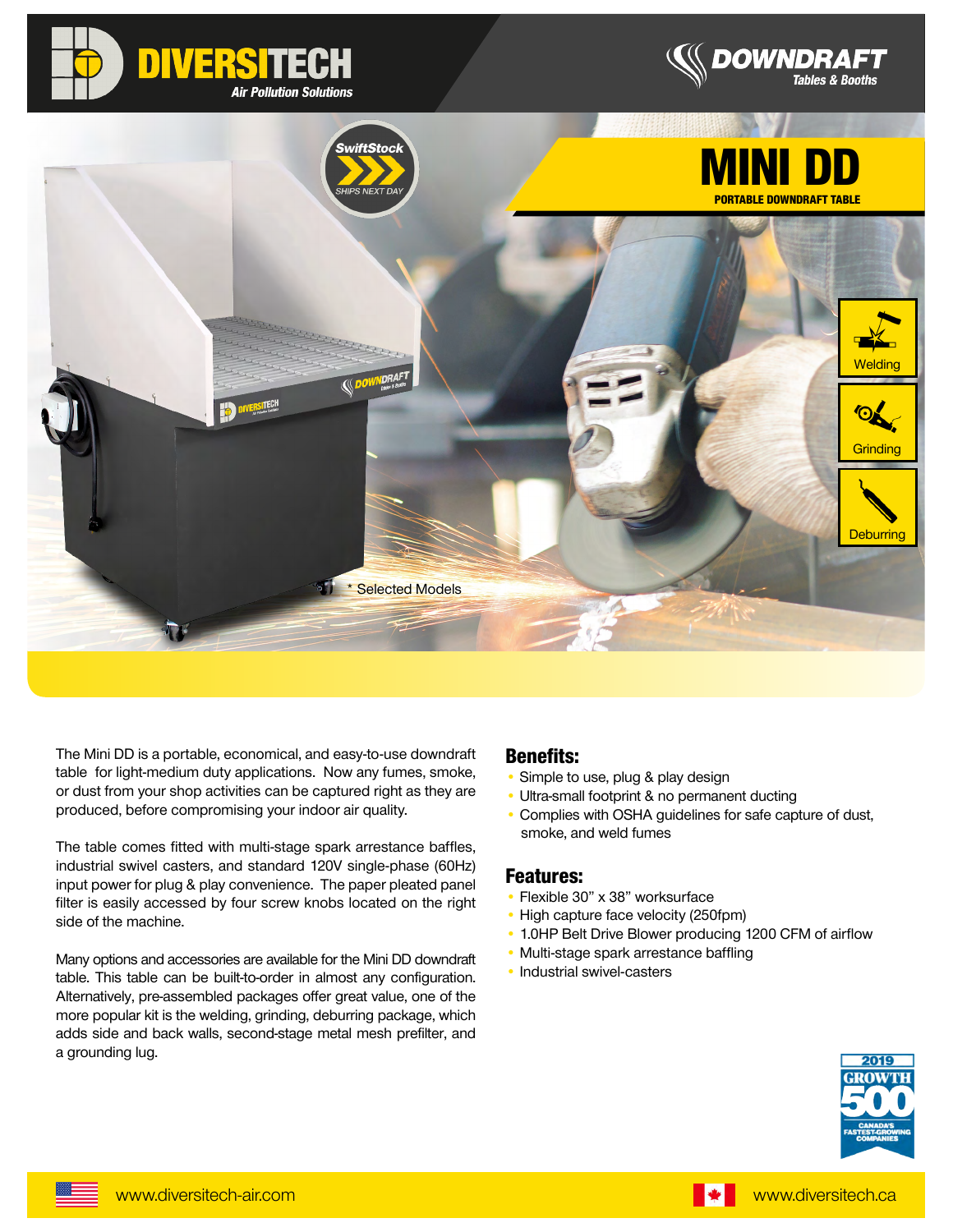





The Mini DD is a portable, economical, and easy-to-use downdraft table for light-medium duty applications. Now any fumes, smoke, or dust from your shop activities can be captured right as they are produced, before compromising your indoor air quality.

The table comes fitted with multi-stage spark arrestance baffles, industrial swivel casters, and standard 120V single-phase (60Hz) input power for plug & play convenience. The paper pleated panel filter is easily accessed by four screw knobs located on the right side of the machine.

Many options and accessories are available for the Mini DD downdraft table. This table can be built-to-order in almost any configuration. Alternatively, pre-assembled packages offer great value, one of the more popular kit is the welding, grinding, deburring package, which adds side and back walls, second-stage metal mesh prefilter, and a grounding lug.

#### Benefits:

- Simple to use, plug & play design
- Ultra-small footprint & no permanent ducting
- Complies with OSHA guidelines for safe capture of dust, smoke, and weld fumes

#### Features:

- Flexible 30" x 38" worksurface
- High capture face velocity (250fpm)
- 1.0HP Belt Drive Blower producing 1200 CFM of airflow
- Multi-stage spark arrestance baffling
- Industrial swivel-casters